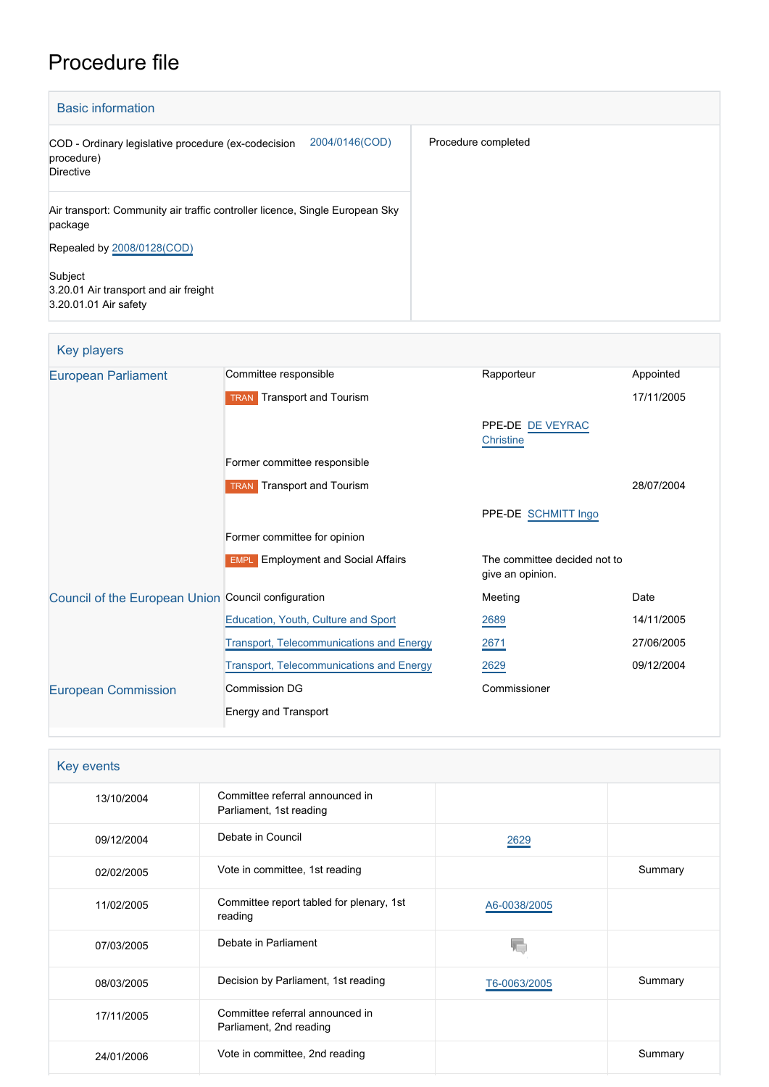# Procedure file

| <b>Basic information</b>                                                                         |                     |
|--------------------------------------------------------------------------------------------------|---------------------|
| 2004/0146(COD)<br>COD - Ordinary legislative procedure (ex-codecision<br>procedure)<br>Directive | Procedure completed |
| Air transport: Community air traffic controller licence, Single European Sky<br>package          |                     |
| Repealed by 2008/0128(COD)                                                                       |                     |
| Subject<br>3.20.01 Air transport and air freight<br>3.20.01.01 Air safety                        |                     |

# Key players

| <b>European Parliament</b>                          | Committee responsible                           | Rapporteur                                       | Appointed  |
|-----------------------------------------------------|-------------------------------------------------|--------------------------------------------------|------------|
|                                                     | Transport and Tourism<br><b>TRAN</b>            |                                                  | 17/11/2005 |
|                                                     |                                                 | PPE-DE DE VEYRAC<br>Christine                    |            |
|                                                     | Former committee responsible                    |                                                  |            |
|                                                     | <b>TRAN</b> Transport and Tourism               |                                                  | 28/07/2004 |
|                                                     |                                                 | PPE-DE SCHMITT Ingo                              |            |
|                                                     | Former committee for opinion                    |                                                  |            |
|                                                     | <b>EMPL</b> Employment and Social Affairs       | The committee decided not to<br>give an opinion. |            |
| Council of the European Union Council configuration |                                                 | Meeting                                          | Date       |
|                                                     | Education, Youth, Culture and Sport             | 2689                                             | 14/11/2005 |
|                                                     | <b>Transport, Telecommunications and Energy</b> | 2671                                             | 27/06/2005 |
|                                                     | <b>Transport, Telecommunications and Energy</b> | 2629                                             | 09/12/2004 |
| <b>European Commission</b>                          | Commission DG                                   | Commissioner                                     |            |
|                                                     | <b>Energy and Transport</b>                     |                                                  |            |

| Committee referral announced in<br>Parliament, 1st reading |              |         |
|------------------------------------------------------------|--------------|---------|
| Debate in Council                                          | 2629         |         |
| Vote in committee, 1st reading                             |              | Summary |
| Committee report tabled for plenary, 1st<br>reading        | A6-0038/2005 |         |
| Debate in Parliament                                       |              |         |
| Decision by Parliament, 1st reading                        | T6-0063/2005 | Summary |
| Committee referral announced in<br>Parliament, 2nd reading |              |         |
| Vote in committee, 2nd reading                             |              | Summary |
|                                                            |              |         |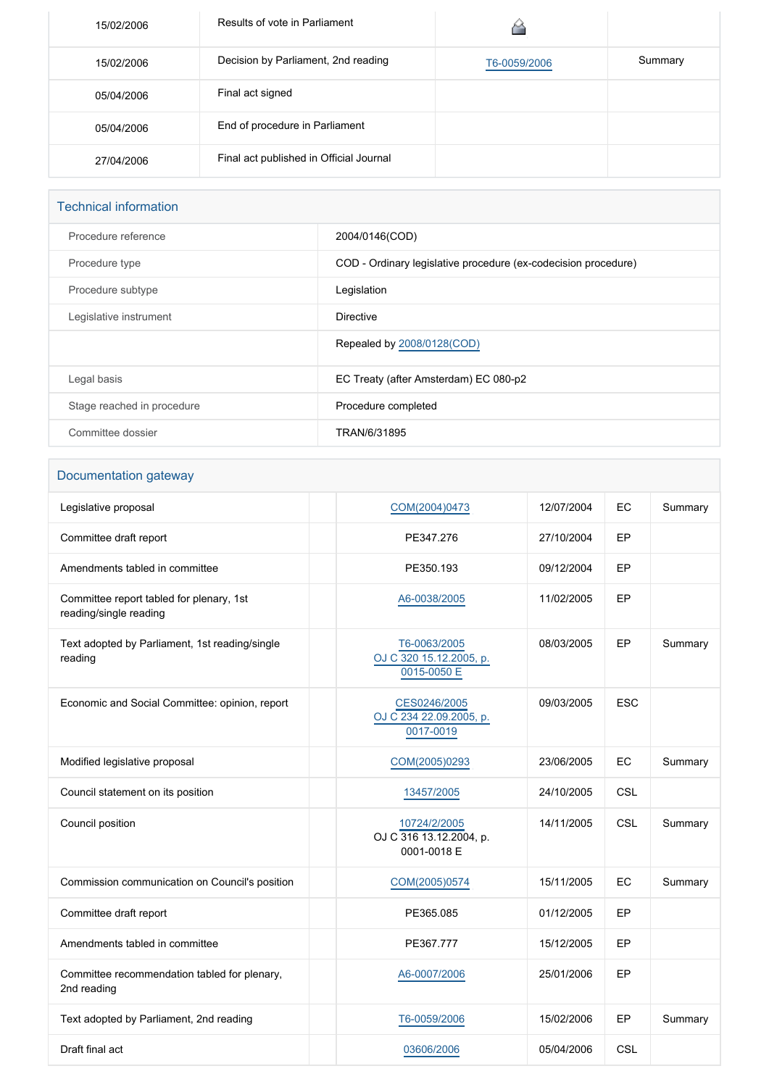| 15/02/2006 | Results of vote in Parliament           |              |         |
|------------|-----------------------------------------|--------------|---------|
| 15/02/2006 | Decision by Parliament, 2nd reading     | T6-0059/2006 | Summary |
| 05/04/2006 | Final act signed                        |              |         |
| 05/04/2006 | End of procedure in Parliament          |              |         |
| 27/04/2006 | Final act published in Official Journal |              |         |

# Technical information Procedure reference 2004/0146(COD) Procedure type **COD** - Ordinary legislative procedure (ex-codecision procedure) Procedure subtype **Legislation** Legislative instrument **Directive** Repealed by [2008/0128\(COD\)](https://oeil.secure.europarl.europa.eu/oeil/popups/ficheprocedure.do?lang=en&reference=2008/0128(COD)) Legal basis **EC Treaty (after Amsterdam) EC 080-p2** Stage reached in procedure **Procedure Completed** Procedure completed Committee dossier **TRAN/6/31895**

#### Documentation gateway

| Legislative proposal                                               | COM(2004)0473                                          | 12/07/2004 | EC         | Summary |
|--------------------------------------------------------------------|--------------------------------------------------------|------------|------------|---------|
| Committee draft report                                             | PE347.276                                              | 27/10/2004 | EP         |         |
| Amendments tabled in committee                                     | PE350.193                                              | 09/12/2004 | EP         |         |
| Committee report tabled for plenary, 1st<br>reading/single reading | A6-0038/2005                                           | 11/02/2005 | EP         |         |
| Text adopted by Parliament, 1st reading/single<br>reading          | T6-0063/2005<br>OJ C 320 15.12.2005, p.<br>0015-0050 E | 08/03/2005 | EP         | Summary |
| Economic and Social Committee: opinion, report                     | CES0246/2005<br>OJ C 234 22.09.2005, p.<br>0017-0019   | 09/03/2005 | <b>ESC</b> |         |
| Modified legislative proposal                                      | COM(2005)0293                                          | 23/06/2005 | EC         | Summary |
| Council statement on its position                                  | 13457/2005                                             | 24/10/2005 | CSL        |         |
| Council position                                                   | 10724/2/2005<br>OJ C 316 13.12.2004, p.<br>0001-0018 E | 14/11/2005 | CSL        | Summary |
| Commission communication on Council's position                     | COM(2005)0574                                          | 15/11/2005 | EC         | Summary |
| Committee draft report                                             | PE365.085                                              | 01/12/2005 | EP         |         |
| Amendments tabled in committee                                     | PE367.777                                              | 15/12/2005 | EP         |         |
| Committee recommendation tabled for plenary,<br>2nd reading        | A6-0007/2006                                           | 25/01/2006 | EP         |         |
| Text adopted by Parliament, 2nd reading                            | T6-0059/2006                                           | 15/02/2006 | EP         | Summary |
| Draft final act                                                    | 03606/2006                                             | 05/04/2006 | <b>CSL</b> |         |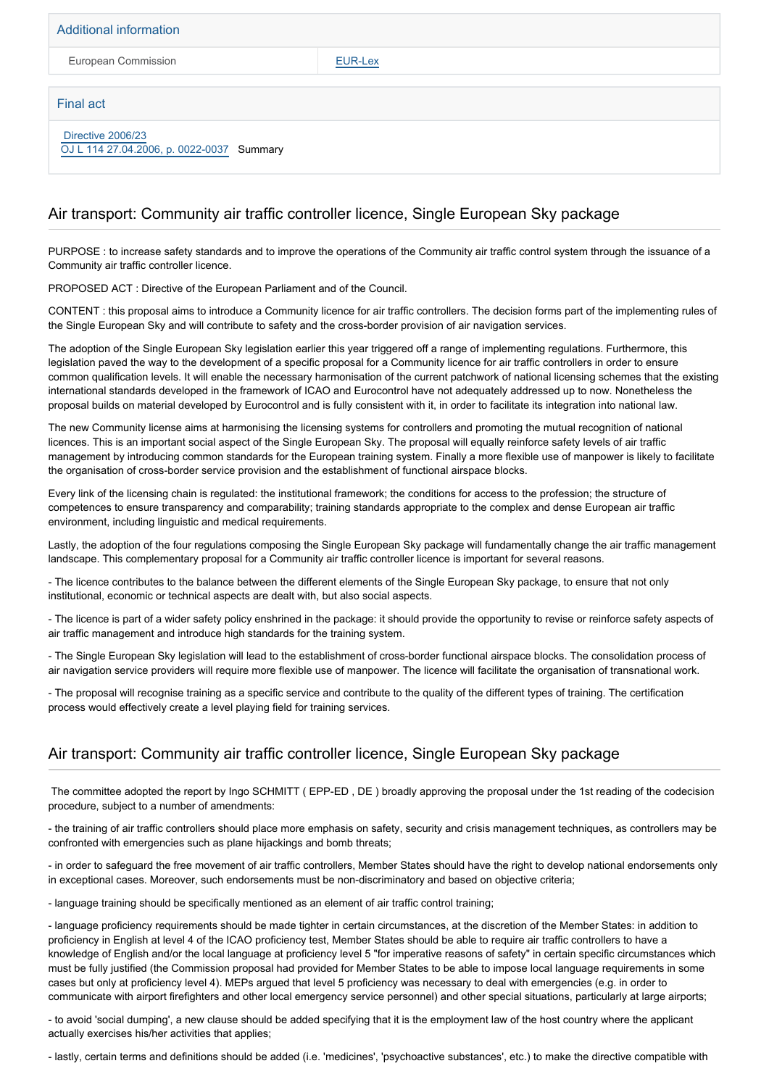Additional information

European Commission **[EUR-Lex](http://ec.europa.eu/prelex/liste_resultats.cfm?CL=en&ReqId=0&DocType=COD&DocYear=2004&DocNum=0146)** 

#### Final act

#### [Directive 2006/23](https://eur-lex.europa.eu/smartapi/cgi/sga_doc?smartapi!celexplus!prod!CELEXnumdoc&lg=EN&numdoc=32006L0023) [OJ L 114 27.04.2006, p. 0022-0037](https://eur-lex.europa.eu/legal-content/EN/TXT/?uri=OJ:L:2006:114:TOC) Summary

### Air transport: Community air traffic controller licence, Single European Sky package

PURPOSE : to increase safety standards and to improve the operations of the Community air traffic control system through the issuance of a Community air traffic controller licence.

PROPOSED ACT : Directive of the European Parliament and of the Council.

CONTENT : this proposal aims to introduce a Community licence for air traffic controllers. The decision forms part of the implementing rules of the Single European Sky and will contribute to safety and the cross-border provision of air navigation services.

The adoption of the Single European Sky legislation earlier this year triggered off a range of implementing regulations. Furthermore, this legislation paved the way to the development of a specific proposal for a Community licence for air traffic controllers in order to ensure common qualification levels. It will enable the necessary harmonisation of the current patchwork of national licensing schemes that the existing international standards developed in the framework of ICAO and Eurocontrol have not adequately addressed up to now. Nonetheless the proposal builds on material developed by Eurocontrol and is fully consistent with it, in order to facilitate its integration into national law.

The new Community license aims at harmonising the licensing systems for controllers and promoting the mutual recognition of national licences. This is an important social aspect of the Single European Sky. The proposal will equally reinforce safety levels of air traffic management by introducing common standards for the European training system. Finally a more flexible use of manpower is likely to facilitate the organisation of cross-border service provision and the establishment of functional airspace blocks.

Every link of the licensing chain is regulated: the institutional framework; the conditions for access to the profession; the structure of competences to ensure transparency and comparability; training standards appropriate to the complex and dense European air traffic environment, including linguistic and medical requirements.

Lastly, the adoption of the four regulations composing the Single European Sky package will fundamentally change the air traffic management landscape. This complementary proposal for a Community air traffic controller licence is important for several reasons.

- The licence contributes to the balance between the different elements of the Single European Sky package, to ensure that not only institutional, economic or technical aspects are dealt with, but also social aspects.

- The licence is part of a wider safety policy enshrined in the package: it should provide the opportunity to revise or reinforce safety aspects of air traffic management and introduce high standards for the training system.

- The Single European Sky legislation will lead to the establishment of cross-border functional airspace blocks. The consolidation process of air navigation service providers will require more flexible use of manpower. The licence will facilitate the organisation of transnational work.

- The proposal will recognise training as a specific service and contribute to the quality of the different types of training. The certification process would effectively create a level playing field for training services.

#### Air transport: Community air traffic controller licence, Single European Sky package

 The committee adopted the report by Ingo SCHMITT ( EPP-ED , DE ) broadly approving the proposal under the 1st reading of the codecision procedure, subject to a number of amendments:

- the training of air traffic controllers should place more emphasis on safety, security and crisis management techniques, as controllers may be confronted with emergencies such as plane hijackings and bomb threats;

- in order to safeguard the free movement of air traffic controllers, Member States should have the right to develop national endorsements only in exceptional cases. Moreover, such endorsements must be non-discriminatory and based on objective criteria;

- language training should be specifically mentioned as an element of air traffic control training;

- language proficiency requirements should be made tighter in certain circumstances, at the discretion of the Member States: in addition to proficiency in English at level 4 of the ICAO proficiency test, Member States should be able to require air traffic controllers to have a knowledge of English and/or the local language at proficiency level 5 "for imperative reasons of safety" in certain specific circumstances which must be fully justified (the Commission proposal had provided for Member States to be able to impose local language requirements in some cases but only at proficiency level 4). MEPs argued that level 5 proficiency was necessary to deal with emergencies (e.g. in order to communicate with airport firefighters and other local emergency service personnel) and other special situations, particularly at large airports;

- to avoid 'social dumping', a new clause should be added specifying that it is the employment law of the host country where the applicant actually exercises his/her activities that applies;

- lastly, certain terms and definitions should be added (i.e. 'medicines', 'psychoactive substances', etc.) to make the directive compatible with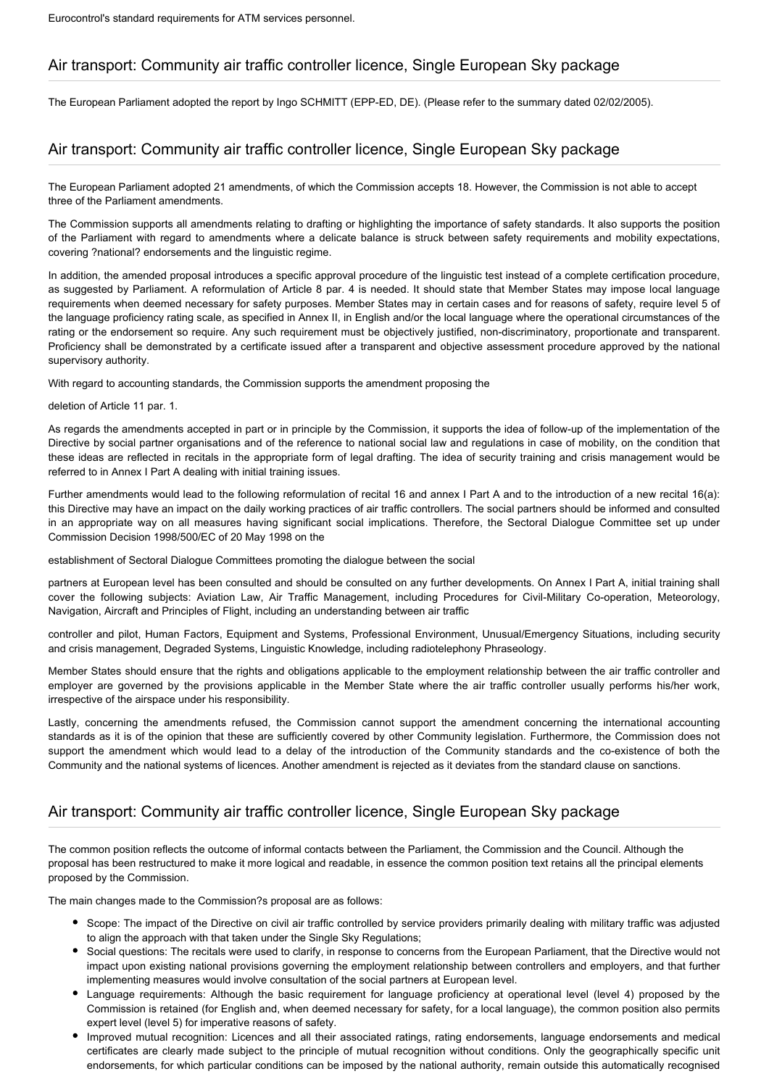# Air transport: Community air traffic controller licence, Single European Sky package

The European Parliament adopted the report by Ingo SCHMITT (EPP-ED, DE). (Please refer to the summary dated 02/02/2005).

# Air transport: Community air traffic controller licence, Single European Sky package

The European Parliament adopted 21 amendments, of which the Commission accepts 18. However, the Commission is not able to accept three of the Parliament amendments.

The Commission supports all amendments relating to drafting or highlighting the importance of safety standards. It also supports the position of the Parliament with regard to amendments where a delicate balance is struck between safety requirements and mobility expectations, covering ?national? endorsements and the linguistic regime.

In addition, the amended proposal introduces a specific approval procedure of the linguistic test instead of a complete certification procedure, as suggested by Parliament. A reformulation of Article 8 par. 4 is needed. It should state that Member States may impose local language requirements when deemed necessary for safety purposes. Member States may in certain cases and for reasons of safety, require level 5 of the language proficiency rating scale, as specified in Annex II, in English and/or the local language where the operational circumstances of the rating or the endorsement so require. Any such requirement must be objectively justified, non-discriminatory, proportionate and transparent. Proficiency shall be demonstrated by a certificate issued after a transparent and objective assessment procedure approved by the national supervisory authority.

With regard to accounting standards, the Commission supports the amendment proposing the

deletion of Article 11 par. 1.

As regards the amendments accepted in part or in principle by the Commission, it supports the idea of follow-up of the implementation of the Directive by social partner organisations and of the reference to national social law and regulations in case of mobility, on the condition that these ideas are reflected in recitals in the appropriate form of legal drafting. The idea of security training and crisis management would be referred to in Annex I Part A dealing with initial training issues.

Further amendments would lead to the following reformulation of recital 16 and annex I Part A and to the introduction of a new recital 16(a): this Directive may have an impact on the daily working practices of air traffic controllers. The social partners should be informed and consulted in an appropriate way on all measures having significant social implications. Therefore, the Sectoral Dialogue Committee set up under Commission Decision 1998/500/EC of 20 May 1998 on the

establishment of Sectoral Dialogue Committees promoting the dialogue between the social

partners at European level has been consulted and should be consulted on any further developments. On Annex I Part A, initial training shall cover the following subjects: Aviation Law, Air Traffic Management, including Procedures for Civil-Military Co-operation, Meteorology, Navigation, Aircraft and Principles of Flight, including an understanding between air traffic

controller and pilot, Human Factors, Equipment and Systems, Professional Environment, Unusual/Emergency Situations, including security and crisis management, Degraded Systems, Linguistic Knowledge, including radiotelephony Phraseology.

Member States should ensure that the rights and obligations applicable to the employment relationship between the air traffic controller and employer are governed by the provisions applicable in the Member State where the air traffic controller usually performs his/her work, irrespective of the airspace under his responsibility.

Lastly, concerning the amendments refused, the Commission cannot support the amendment concerning the international accounting standards as it is of the opinion that these are sufficiently covered by other Community legislation. Furthermore, the Commission does not support the amendment which would lead to a delay of the introduction of the Community standards and the co-existence of both the Community and the national systems of licences. Another amendment is rejected as it deviates from the standard clause on sanctions.

## Air transport: Community air traffic controller licence, Single European Sky package

The common position reflects the outcome of informal contacts between the Parliament, the Commission and the Council. Although the proposal has been restructured to make it more logical and readable, in essence the common position text retains all the principal elements proposed by the Commission.

The main changes made to the Commission?s proposal are as follows:

- Scope: The impact of the Directive on civil air traffic controlled by service providers primarily dealing with military traffic was adjusted to align the approach with that taken under the Single Sky Regulations;
- Social questions: The recitals were used to clarify, in response to concerns from the European Parliament, that the Directive would not impact upon existing national provisions governing the employment relationship between controllers and employers, and that further implementing measures would involve consultation of the social partners at European level.
- Language requirements: Although the basic requirement for language proficiency at operational level (level 4) proposed by the Commission is retained (for English and, when deemed necessary for safety, for a local language), the common position also permits expert level (level 5) for imperative reasons of safety.
- Improved mutual recognition: Licences and all their associated ratings, rating endorsements, language endorsements and medical certificates are clearly made subject to the principle of mutual recognition without conditions. Only the geographically specific unit endorsements, for which particular conditions can be imposed by the national authority, remain outside this automatically recognised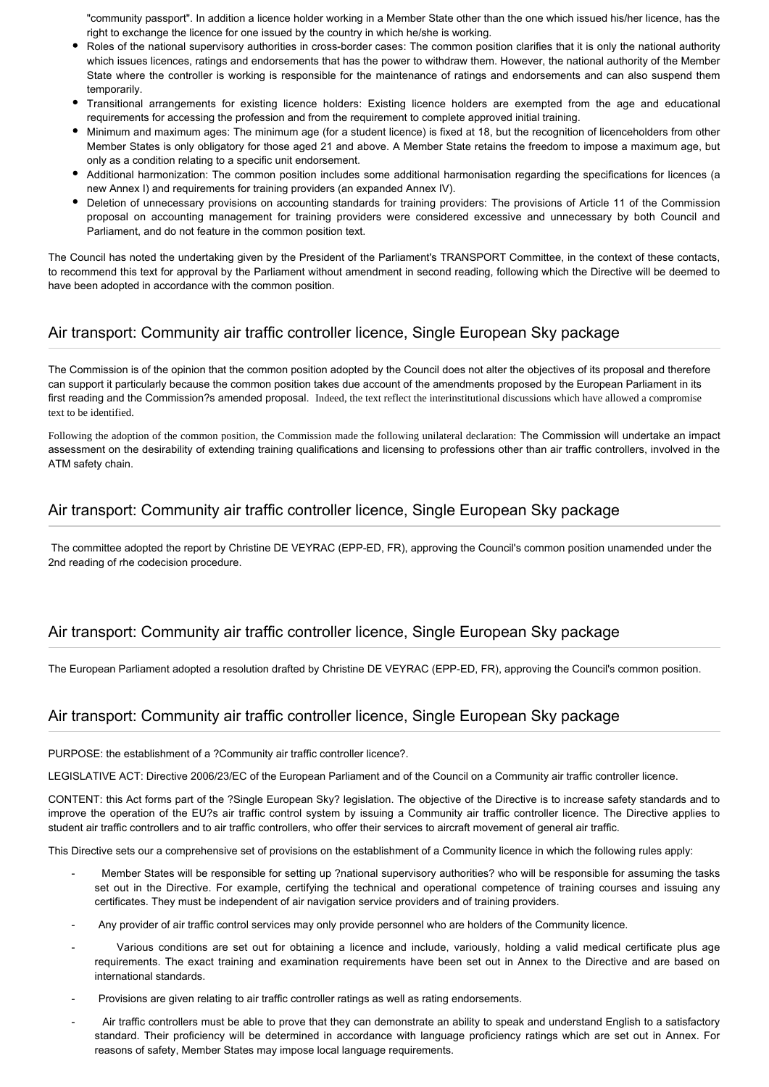"community passport". In addition a licence holder working in a Member State other than the one which issued his/her licence, has the right to exchange the licence for one issued by the country in which he/she is working.

- Roles of the national supervisory authorities in cross-border cases: The common position clarifies that it is only the national authority which issues licences, ratings and endorsements that has the power to withdraw them. However, the national authority of the Member State where the controller is working is responsible for the maintenance of ratings and endorsements and can also suspend them temporarily.
- Transitional arrangements for existing licence holders: Existing licence holders are exempted from the age and educational requirements for accessing the profession and from the requirement to complete approved initial training.
- Minimum and maximum ages: The minimum age (for a student licence) is fixed at 18, but the recognition of licenceholders from other Member States is only obligatory for those aged 21 and above. A Member State retains the freedom to impose a maximum age, but only as a condition relating to a specific unit endorsement.
- Additional harmonization: The common position includes some additional harmonisation regarding the specifications for licences (a new Annex I) and requirements for training providers (an expanded Annex IV).
- Deletion of unnecessary provisions on accounting standards for training providers: The provisions of Article 11 of the Commission proposal on accounting management for training providers were considered excessive and unnecessary by both Council and Parliament, and do not feature in the common position text.

The Council has noted the undertaking given by the President of the Parliament's TRANSPORT Committee, in the context of these contacts, to recommend this text for approval by the Parliament without amendment in second reading, following which the Directive will be deemed to have been adopted in accordance with the common position.

# Air transport: Community air traffic controller licence, Single European Sky package

The Commission is of the opinion that the common position adopted by the Council does not alter the objectives of its proposal and therefore can support it particularly because the common position takes due account of the amendments proposed by the European Parliament in its first reading and the Commission?s amended proposal. Indeed, the text reflect the interinstitutional discussions which have allowed a compromise text to be identified.

Following the adoption of the common position, the Commission made the following unilateral declaration: The Commission will undertake an impact assessment on the desirability of extending training qualifications and licensing to professions other than air traffic controllers, involved in the ATM safety chain.

## Air transport: Community air traffic controller licence, Single European Sky package

 The committee adopted the report by Christine DE VEYRAC (EPP-ED, FR), approving the Council's common position unamended under the 2nd reading of rhe codecision procedure.

## Air transport: Community air traffic controller licence, Single European Sky package

The European Parliament adopted a resolution drafted by Christine DE VEYRAC (EPP-ED, FR), approving the Council's common position.

# Air transport: Community air traffic controller licence, Single European Sky package

PURPOSE: the establishment of a ?Community air traffic controller licence?.

LEGISLATIVE ACT: Directive 2006/23/EC of the European Parliament and of the Council on a Community air traffic controller licence.

CONTENT: this Act forms part of the ?Single European Sky? legislation. The objective of the Directive is to increase safety standards and to improve the operation of the EU?s air traffic control system by issuing a Community air traffic controller licence. The Directive applies to student air traffic controllers and to air traffic controllers, who offer their services to aircraft movement of general air traffic.

This Directive sets our a comprehensive set of provisions on the establishment of a Community licence in which the following rules apply:

- Member States will be responsible for setting up ?national supervisory authorities? who will be responsible for assuming the tasks set out in the Directive. For example, certifying the technical and operational competence of training courses and issuing any certificates. They must be independent of air navigation service providers and of training providers.
- Any provider of air traffic control services may only provide personnel who are holders of the Community licence.
- Various conditions are set out for obtaining a licence and include, variously, holding a valid medical certificate plus age requirements. The exact training and examination requirements have been set out in Annex to the Directive and are based on international standards.
- Provisions are given relating to air traffic controller ratings as well as rating endorsements.
- Air traffic controllers must be able to prove that they can demonstrate an ability to speak and understand English to a satisfactory standard. Their proficiency will be determined in accordance with language proficiency ratings which are set out in Annex. For reasons of safety, Member States may impose local language requirements.